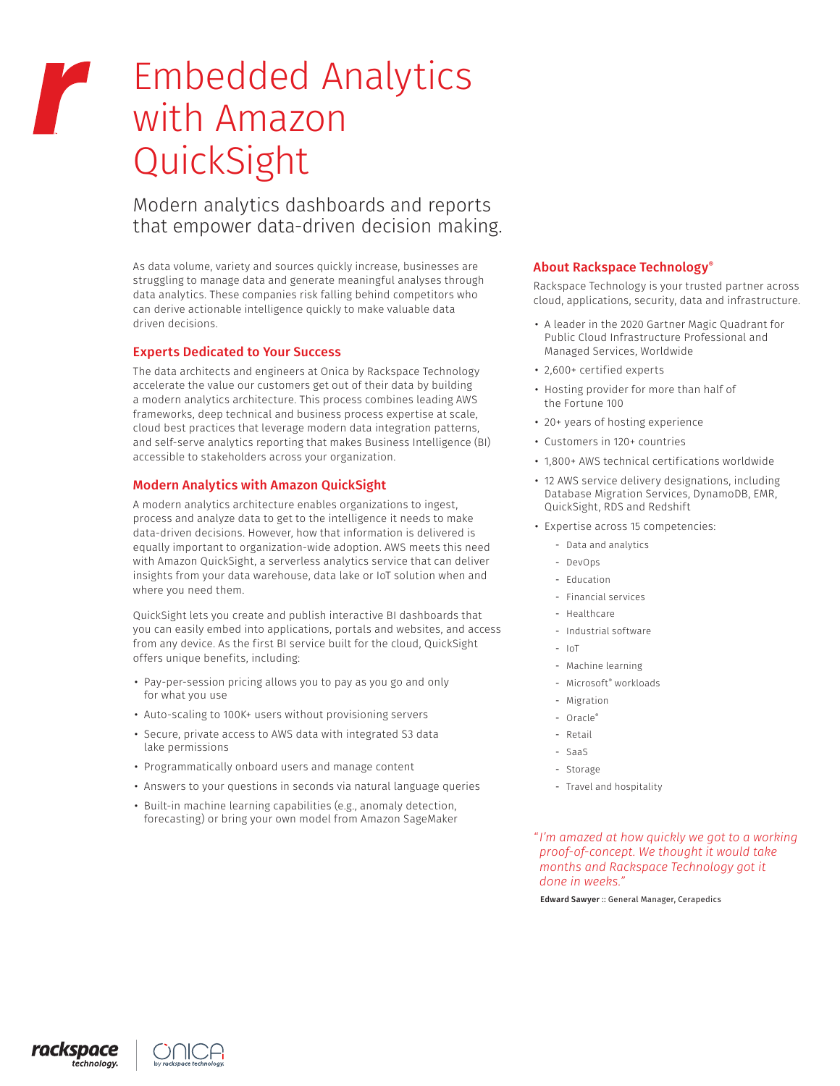# Embedded Analytics with Amazon QuickSight

Modern analytics dashboards and reports that empower data-driven decision making.

As data volume, variety and sources quickly increase, businesses are struggling to manage data and generate meaningful analyses through data analytics. These companies risk falling behind competitors who can derive actionable intelligence quickly to make valuable data driven decisions.

# Experts Dedicated to Your Success

The data architects and engineers at Onica by Rackspace Technology accelerate the value our customers get out of their data by building a modern analytics architecture. This process combines leading AWS frameworks, deep technical and business process expertise at scale, cloud best practices that leverage modern data integration patterns, and self-serve analytics reporting that makes Business Intelligence (BI) accessible to stakeholders across your organization.

# Modern Analytics with Amazon QuickSight

A modern analytics architecture enables organizations to ingest, process and analyze data to get to the intelligence it needs to make data-driven decisions. However, how that information is delivered is equally important to organization-wide adoption. AWS meets this need with Amazon QuickSight, a serverless analytics service that can deliver insights from your data warehouse, data lake or IoT solution when and where you need them.

QuickSight lets you create and publish interactive BI dashboards that you can easily embed into applications, portals and websites, and access from any device. As the first BI service built for the cloud, QuickSight offers unique benefits, including:

- Pay-per-session pricing allows you to pay as you go and only for what you use
- Auto-scaling to 100K+ users without provisioning servers
- Secure, private access to AWS data with integrated S3 data lake permissions
- Programmatically onboard users and manage content
- Answers to your questions in seconds via natural language queries
- Built-in machine learning capabilities (e.g., anomaly detection, forecasting) or bring your own model from Amazon SageMaker

#### About Rackspace Technology®

Rackspace Technology is your trusted partner across cloud, applications, security, data and infrastructure.

- A leader in the 2020 Gartner Magic Quadrant for Public Cloud Infrastructure Professional and Managed Services, Worldwide
- 2,600+ certified experts
- Hosting provider for more than half of the Fortune 100
- 20+ years of hosting experience
- Customers in 120+ countries
- 1,800+ AWS technical certifications worldwide
- 12 AWS service delivery designations, including Database Migration Services, DynamoDB, EMR, QuickSight, RDS and Redshift
- Expertise across 15 competencies:
	- Data and analytics
	- DevOps
	- Education
	- Financial services
	- Healthcare
	- Industrial software
	- IoT
	- Machine learning
	- Microsoft® workloads
	- Migration
	- Oracle®
	- Retail
	- SaaS
	- Storage
	- Travel and hospitality

*"I'm amazed at how quickly we got to a working proof-of-concept. We thought it would take months and Rackspace Technology got it done in weeks."*

Edward Sawyer :: General Manager, Cerapedics

rackspace .<br>chnoloav